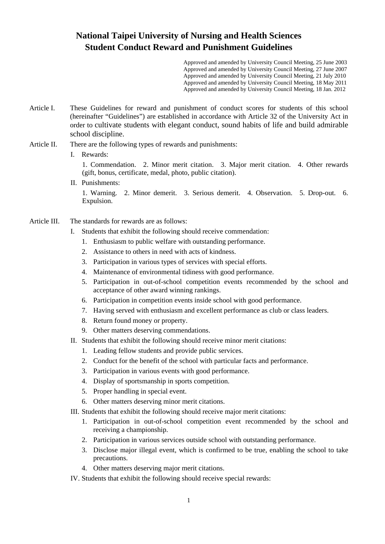## **National Taipei University of Nursing and Health Sciences Student Conduct Reward and Punishment Guidelines**

 Approved and amended by University Council Meeting, 25 June 2003 Approved and amended by University Council Meeting, 27 June 2007 Approved and amended by University Council Meeting, 21 July 2010 Approved and amended by University Council Meeting, 18 May 2011 Approved and amended by University Council Meeting, 18 Jan. 2012

- Article I. These Guidelines for reward and punishment of conduct scores for students of this school (hereinafter "Guidelines") are established in accordance with Article 32 of the University Act in order to cultivate students with elegant conduct, sound habits of life and build admirable school discipline.
- Article II. There are the following types of rewards and punishments:

## I. Rewards:

1. Commendation. 2. Minor merit citation. 3. Major merit citation. 4. Other rewards (gift, bonus, certificate, medal, photo, public citation).

II. Punishments:

1. Warning. 2. Minor demerit. 3. Serious demerit. 4. Observation. 5. Drop-out. 6. Expulsion.

- Article III. The standards for rewards are as follows:
	- I. Students that exhibit the following should receive commendation:
		- 1. Enthusiasm to public welfare with outstanding performance.
		- 2. Assistance to others in need with acts of kindness.
		- 3. Participation in various types of services with special efforts.
		- 4. Maintenance of environmental tidiness with good performance.
		- 5. Participation in out-of-school competition events recommended by the school and acceptance of other award winning rankings.
		- 6. Participation in competition events inside school with good performance.
		- 7. Having served with enthusiasm and excellent performance as club or class leaders.
		- 8. Return found money or property.
		- 9. Other matters deserving commendations.
	- II. Students that exhibit the following should receive minor merit citations:
		- 1. Leading fellow students and provide public services.
		- 2. Conduct for the benefit of the school with particular facts and performance.
		- 3. Participation in various events with good performance.
		- 4. Display of sportsmanship in sports competition.
		- 5. Proper handling in special event.
		- 6. Other matters deserving minor merit citations.
	- III. Students that exhibit the following should receive major merit citations:
		- 1. Participation in out-of-school competition event recommended by the school and receiving a championship.
		- 2. Participation in various services outside school with outstanding performance.
		- 3. Disclose major illegal event, which is confirmed to be true, enabling the school to take precautions.
		- 4. Other matters deserving major merit citations.
	- IV. Students that exhibit the following should receive special rewards: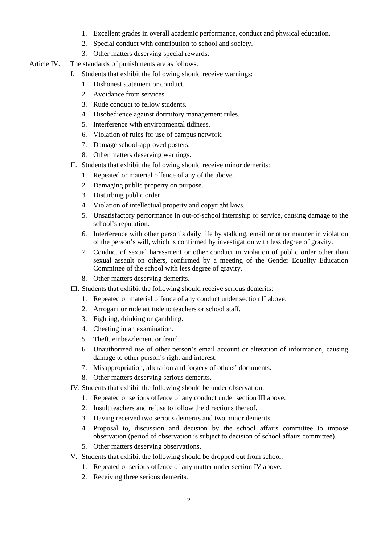- 1. Excellent grades in overall academic performance, conduct and physical education.
- 2. Special conduct with contribution to school and society.
- 3. Other matters deserving special rewards.
- Article IV. The standards of punishments are as follows:
	- I. Students that exhibit the following should receive warnings:
		- 1. Dishonest statement or conduct.
		- 2. Avoidance from services.
		- 3. Rude conduct to fellow students.
		- 4. Disobedience against dormitory management rules.
		- 5. Interference with environmental tidiness.
		- 6. Violation of rules for use of campus network.
		- 7. Damage school-approved posters.
		- 8. Other matters deserving warnings.
	- II. Students that exhibit the following should receive minor demerits:
		- 1. Repeated or material offence of any of the above.
		- 2. Damaging public property on purpose.
		- 3. Disturbing public order.
		- 4. Violation of intellectual property and copyright laws.
		- 5. Unsatisfactory performance in out-of-school internship or service, causing damage to the school's reputation.
		- 6. Interference with other person's daily life by stalking, email or other manner in violation of the person's will, which is confirmed by investigation with less degree of gravity.
		- 7. Conduct of sexual harassment or other conduct in violation of public order other than sexual assault on others, confirmed by a meeting of the Gender Equality Education Committee of the school with less degree of gravity.
		- 8. Other matters deserving demerits.
	- III. Students that exhibit the following should receive serious demerits:
		- 1. Repeated or material offence of any conduct under section II above.
		- 2. Arrogant or rude attitude to teachers or school staff.
		- 3. Fighting, drinking or gambling.
		- 4. Cheating in an examination.
		- 5. Theft, embezzlement or fraud.
		- 6. Unauthorized use of other person's email account or alteration of information, causing damage to other person's right and interest.
		- 7. Misappropriation, alteration and forgery of others' documents.
		- 8. Other matters deserving serious demerits.
	- IV. Students that exhibit the following should be under observation:
		- 1. Repeated or serious offence of any conduct under section III above.
		- 2. Insult teachers and refuse to follow the directions thereof.
		- 3. Having received two serious demerits and two minor demerits.
		- 4. Proposal to, discussion and decision by the school affairs committee to impose observation (period of observation is subject to decision of school affairs committee).
		- 5. Other matters deserving observations.
	- V. Students that exhibit the following should be dropped out from school:
		- 1. Repeated or serious offence of any matter under section IV above.
		- 2. Receiving three serious demerits.